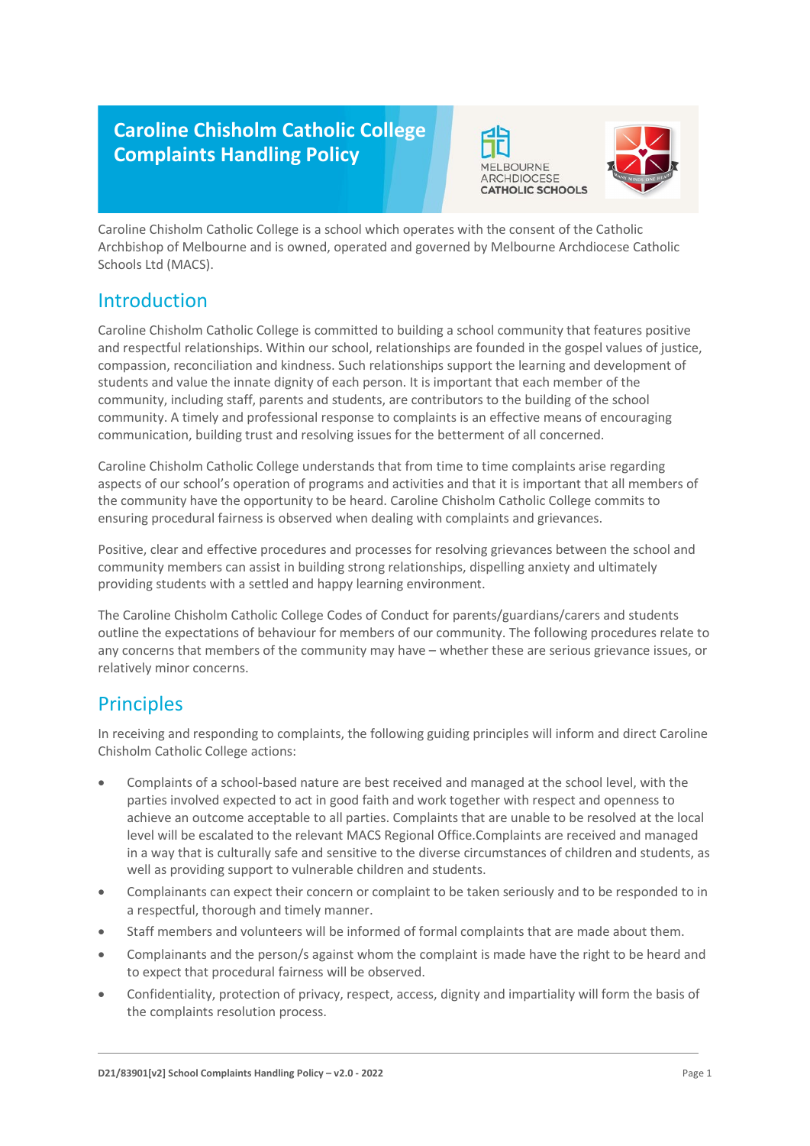## **Caroline Chisholm Catholic College Complaints Handling Policy**





Caroline Chisholm Catholic College is a school which operates with the consent of the Catholic Archbishop of Melbourne and is owned, operated and governed by Melbourne Archdiocese Catholic Schools Ltd (MACS).

### Introduction

Caroline Chisholm Catholic College is committed to building a school community that features positive and respectful relationships. Within our school, relationships are founded in the gospel values of justice, compassion, reconciliation and kindness. Such relationships support the learning and development of students and value the innate dignity of each person. It is important that each member of the community, including staff, parents and students, are contributors to the building of the school community. A timely and professional response to complaints is an effective means of encouraging communication, building trust and resolving issues for the betterment of all concerned.

Caroline Chisholm Catholic College understands that from time to time complaints arise regarding aspects of our school's operation of programs and activities and that it is important that all members of the community have the opportunity to be heard. Caroline Chisholm Catholic College commits to ensuring procedural fairness is observed when dealing with complaints and grievances.

Positive, clear and effective procedures and processes for resolving grievances between the school and community members can assist in building strong relationships, dispelling anxiety and ultimately providing students with a settled and happy learning environment.

The Caroline Chisholm Catholic College Codes of Conduct for parents/guardians/carers and students outline the expectations of behaviour for members of our community. The following procedures relate to any concerns that members of the community may have – whether these are serious grievance issues, or relatively minor concerns.

## **Principles**

In receiving and responding to complaints, the following guiding principles will inform and direct Caroline Chisholm Catholic College actions:

- Complaints of a school-based nature are best received and managed at the school level, with the parties involved expected to act in good faith and work together with respect and openness to achieve an outcome acceptable to all parties. Complaints that are unable to be resolved at the local level will be escalated to the relevant MACS Regional Office.Complaints are received and managed in a way that is culturally safe and sensitive to the diverse circumstances of children and students, as well as providing support to vulnerable children and students.
- Complainants can expect their concern or complaint to be taken seriously and to be responded to in a respectful, thorough and timely manner.
- Staff members and volunteers will be informed of formal complaints that are made about them.
- Complainants and the person/s against whom the complaint is made have the right to be heard and to expect that procedural fairness will be observed.
- Confidentiality, protection of privacy, respect, access, dignity and impartiality will form the basis of the complaints resolution process.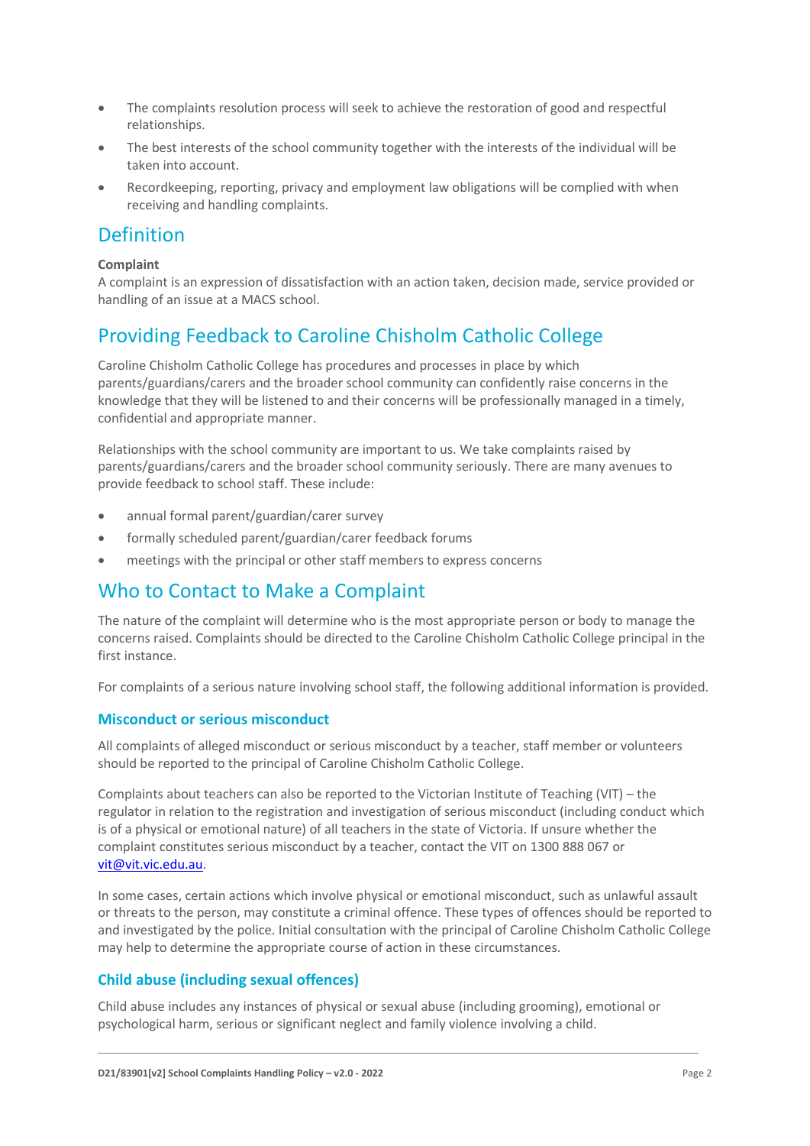- The complaints resolution process will seek to achieve the restoration of good and respectful relationships.
- The best interests of the school community together with the interests of the individual will be taken into account.
- Recordkeeping, reporting, privacy and employment law obligations will be complied with when receiving and handling complaints.

### Definition

### **Complaint**

A complaint is an expression of dissatisfaction with an action taken, decision made, service provided or handling of an issue at a MACS school.

## Providing Feedback to Caroline Chisholm Catholic College

Caroline Chisholm Catholic College has procedures and processes in place by which parents/guardians/carers and the broader school community can confidently raise concerns in the knowledge that they will be listened to and their concerns will be professionally managed in a timely, confidential and appropriate manner.

Relationships with the school community are important to us. We take complaints raised by parents/guardians/carers and the broader school community seriously. There are many avenues to provide feedback to school staff. These include:

- annual formal parent/guardian/carer survey
- formally scheduled parent/guardian/carer feedback forums
- meetings with the principal or other staff members to express concerns

## Who to Contact to Make a Complaint

The nature of the complaint will determine who is the most appropriate person or body to manage the concerns raised. Complaints should be directed to the Caroline Chisholm Catholic College principal in the first instance.

For complaints of a serious nature involving school staff, the following additional information is provided.

### **Misconduct or serious misconduct**

All complaints of alleged misconduct or serious misconduct by a teacher, staff member or volunteers should be reported to the principal of Caroline Chisholm Catholic College.

Complaints about teachers can also be reported to the Victorian Institute of Teaching (VIT) – the regulator in relation to the registration and investigation of serious misconduct (including conduct which is of a physical or emotional nature) of all teachers in the state of Victoria. If unsure whether the complaint constitutes serious misconduct by a teacher, contact the VIT on 1300 888 067 or [vit@vit.vic.edu.au.](mailto:vit@vit.vic.edu.au)

In some cases, certain actions which involve physical or emotional misconduct, such as unlawful assault or threats to the person, may constitute a criminal offence. These types of offences should be reported to and investigated by the police. Initial consultation with the principal of Caroline Chisholm Catholic College may help to determine the appropriate course of action in these circumstances.

### **Child abuse (including sexual offences)**

Child abuse includes any instances of physical or sexual abuse (including grooming), emotional or psychological harm, serious or significant neglect and family violence involving a child.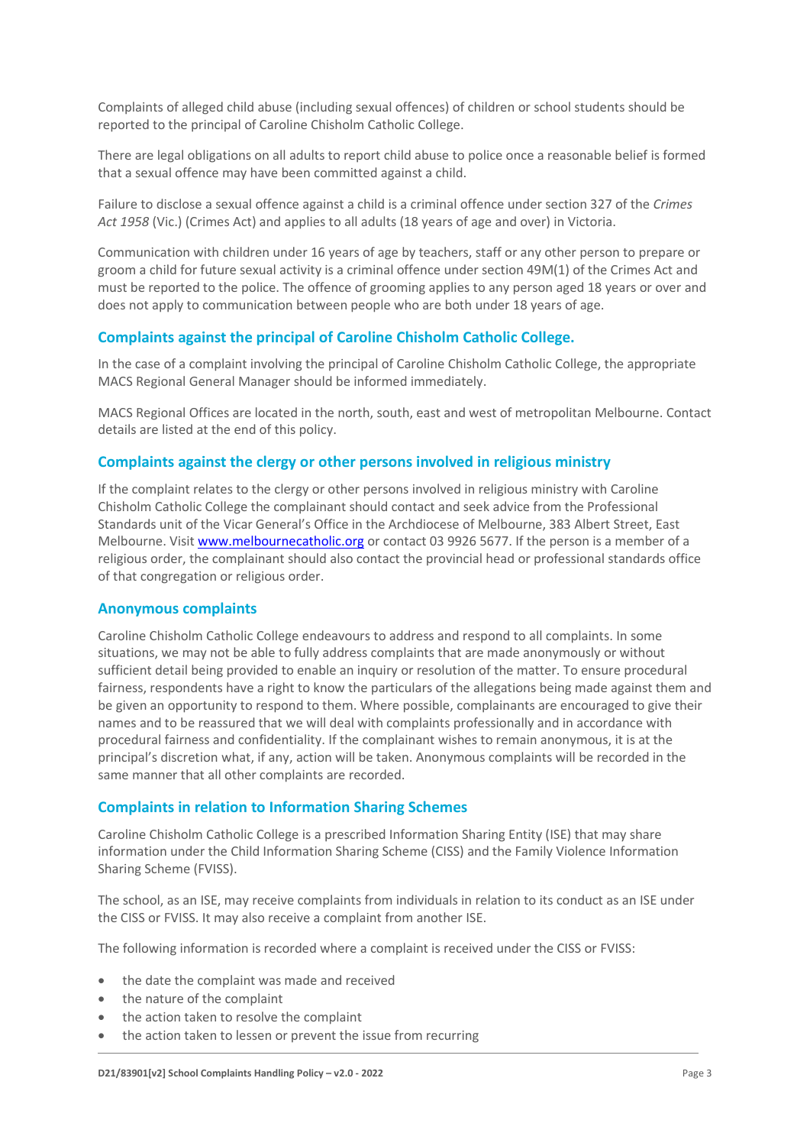Complaints of alleged child abuse (including sexual offences) of children or school students should be reported to the principal of Caroline Chisholm Catholic College.

There are legal obligations on all adults to report child abuse to police once a reasonable belief is formed that a sexual offence may have been committed against a child.

Failure to disclose a sexual offence against a child is a criminal offence under section 327 of the *Crimes Act 1958* (Vic.) (Crimes Act) and applies to all adults (18 years of age and over) in Victoria.

Communication with children under 16 years of age by teachers, staff or any other person to prepare or groom a child for future sexual activity is a criminal offence under section 49M(1) of the Crimes Act and must be reported to the police. The offence of grooming applies to any person aged 18 years or over and does not apply to communication between people who are both under 18 years of age.

### **Complaints against the principal of Caroline Chisholm Catholic College.**

In the case of a complaint involving the principal of Caroline Chisholm Catholic College, the appropriate MACS Regional General Manager should be informed immediately.

MACS Regional Offices are located in the north, south, east and west of metropolitan Melbourne. Contact details are listed at the end of this policy.

#### **Complaints against the clergy or other persons involved in religious ministry**

If the complaint relates to the clergy or other persons involved in religious ministry with Caroline Chisholm Catholic College the complainant should contact and seek advice from the Professional Standards unit of the Vicar General's Office in the Archdiocese of Melbourne, 383 Albert Street, East Melbourne. Visi[t www.melbournecatholic.org](http://www.melbournecatholic.org/) or contact 03 9926 5677. If the person is a member of a religious order, the complainant should also contact the provincial head or professional standards office of that congregation or religious order.

#### **Anonymous complaints**

Caroline Chisholm Catholic College endeavours to address and respond to all complaints. In some situations, we may not be able to fully address complaints that are made anonymously or without sufficient detail being provided to enable an inquiry or resolution of the matter. To ensure procedural fairness, respondents have a right to know the particulars of the allegations being made against them and be given an opportunity to respond to them. Where possible, complainants are encouraged to give their names and to be reassured that we will deal with complaints professionally and in accordance with procedural fairness and confidentiality. If the complainant wishes to remain anonymous, it is at the principal's discretion what, if any, action will be taken. Anonymous complaints will be recorded in the same manner that all other complaints are recorded.

#### **Complaints in relation to Information Sharing Schemes**

Caroline Chisholm Catholic College is a prescribed Information Sharing Entity (ISE) that may share information under the Child Information Sharing Scheme (CISS) and the Family Violence Information Sharing Scheme (FVISS).

The school, as an ISE, may receive complaints from individuals in relation to its conduct as an ISE under the CISS or FVISS. It may also receive a complaint from another ISE.

The following information is recorded where a complaint is received under the CISS or FVISS:

- the date the complaint was made and received
- the nature of the complaint
- the action taken to resolve the complaint
- the action taken to lessen or prevent the issue from recurring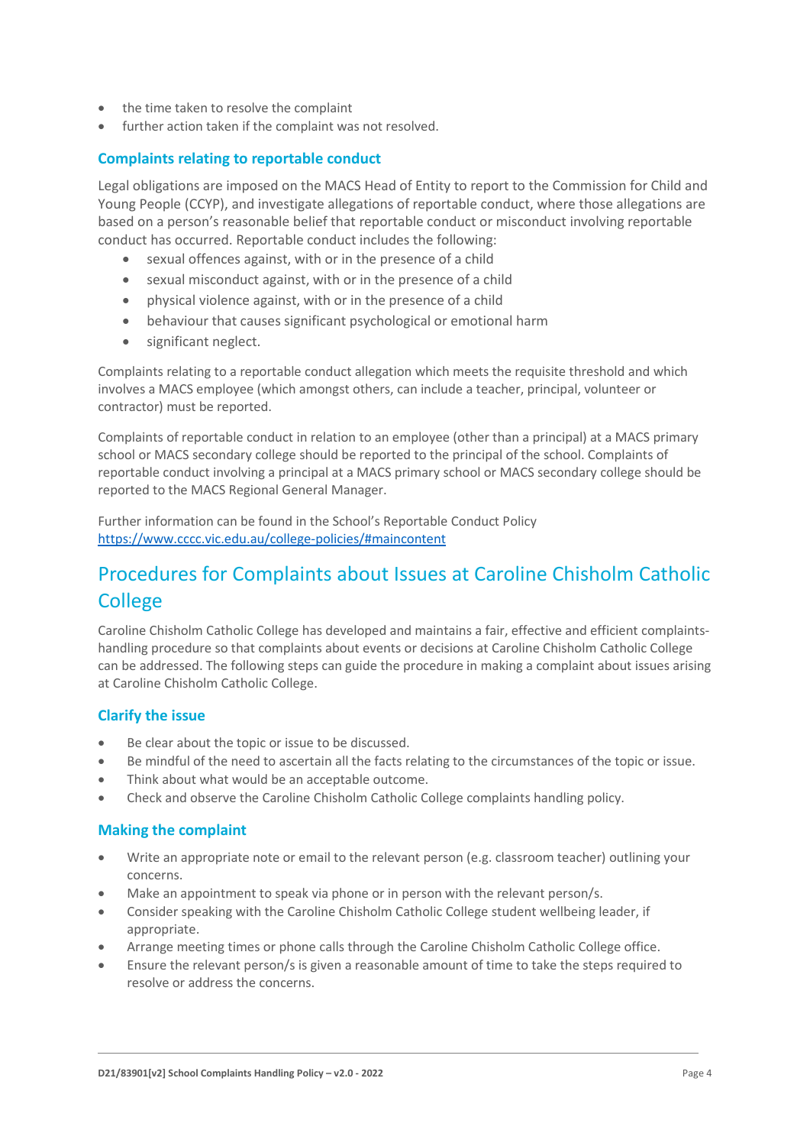- the time taken to resolve the complaint
- further action taken if the complaint was not resolved.

### **Complaints relating to reportable conduct**

Legal obligations are imposed on the MACS Head of Entity to report to the Commission for Child and Young People (CCYP), and investigate allegations of reportable conduct, where those allegations are based on a person's reasonable belief that reportable conduct or misconduct involving reportable conduct has occurred. Reportable conduct includes the following:

- sexual offences against, with or in the presence of a child
- sexual misconduct against, with or in the presence of a child
- physical violence against, with or in the presence of a child
- behaviour that causes significant psychological or emotional harm
- significant neglect.

Complaints relating to a reportable conduct allegation which meets the requisite threshold and which involves a MACS employee (which amongst others, can include a teacher, principal, volunteer or contractor) must be reported.

Complaints of reportable conduct in relation to an employee (other than a principal) at a MACS primary school or MACS secondary college should be reported to the principal of the school. Complaints of reportable conduct involving a principal at a MACS primary school or MACS secondary college should be reported to the MACS Regional General Manager.

Further information can be found in the School's Reportable Conduct Policy <https://www.cccc.vic.edu.au/college-policies/#maincontent>

## Procedures for Complaints about Issues at Caroline Chisholm Catholic **College**

Caroline Chisholm Catholic College has developed and maintains a fair, effective and efficient complaintshandling procedure so that complaints about events or decisions at Caroline Chisholm Catholic College can be addressed. The following steps can guide the procedure in making a complaint about issues arising at Caroline Chisholm Catholic College.

### **Clarify the issue**

- Be clear about the topic or issue to be discussed.
- Be mindful of the need to ascertain all the facts relating to the circumstances of the topic or issue.
- Think about what would be an acceptable outcome.
- Check and observe the Caroline Chisholm Catholic College complaints handling policy.

### **Making the complaint**

- Write an appropriate note or email to the relevant person (e.g. classroom teacher) outlining your concerns.
- Make an appointment to speak via phone or in person with the relevant person/s.
- Consider speaking with the Caroline Chisholm Catholic College student wellbeing leader, if appropriate.
- Arrange meeting times or phone calls through the Caroline Chisholm Catholic College office.
- Ensure the relevant person/s is given a reasonable amount of time to take the steps required to resolve or address the concerns.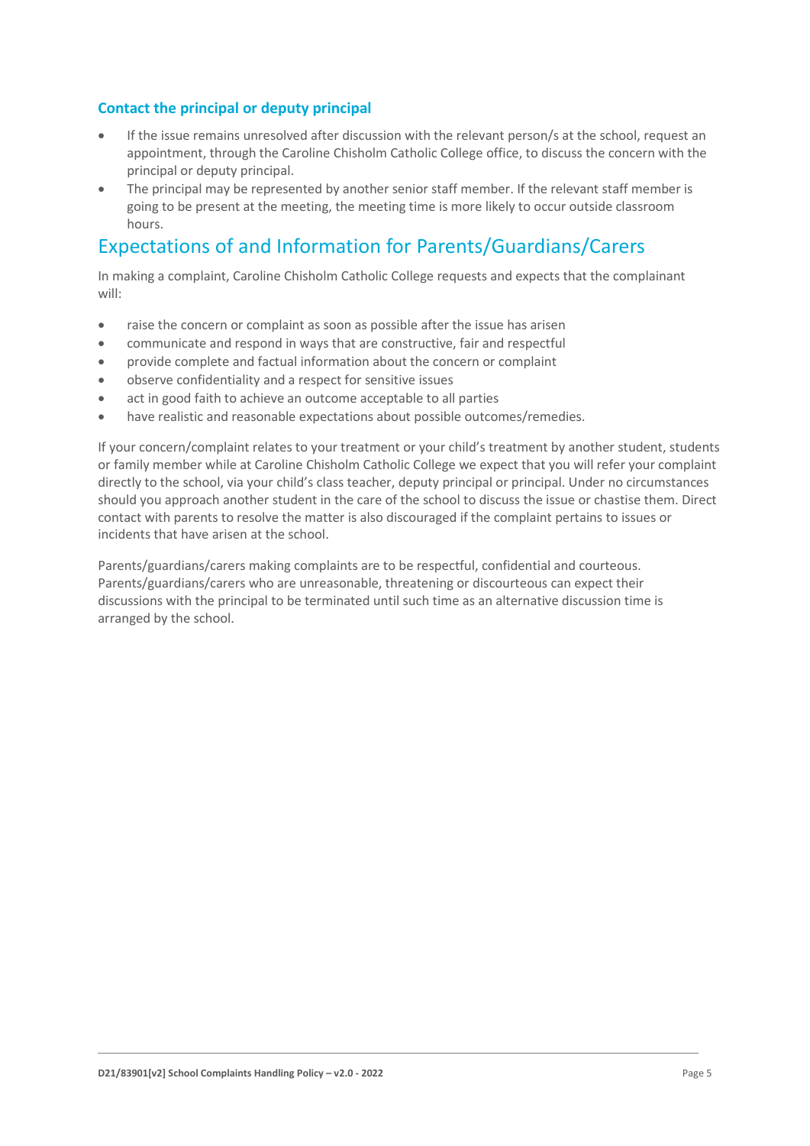### **Contact the principal or deputy principal**

- If the issue remains unresolved after discussion with the relevant person/s at the school, request an appointment, through the Caroline Chisholm Catholic College office, to discuss the concern with the principal or deputy principal.
- The principal may be represented by another senior staff member. If the relevant staff member is going to be present at the meeting, the meeting time is more likely to occur outside classroom hours.

## Expectations of and Information for Parents/Guardians/Carers

In making a complaint, Caroline Chisholm Catholic College requests and expects that the complainant will:

- raise the concern or complaint as soon as possible after the issue has arisen
- communicate and respond in ways that are constructive, fair and respectful
- provide complete and factual information about the concern or complaint
- observe confidentiality and a respect for sensitive issues
- act in good faith to achieve an outcome acceptable to all parties
- have realistic and reasonable expectations about possible outcomes/remedies.

If your concern/complaint relates to your treatment or your child's treatment by another student, students or family member while at Caroline Chisholm Catholic College we expect that you will refer your complaint directly to the school, via your child's class teacher, deputy principal or principal. Under no circumstances should you approach another student in the care of the school to discuss the issue or chastise them. Direct contact with parents to resolve the matter is also discouraged if the complaint pertains to issues or incidents that have arisen at the school.

Parents/guardians/carers making complaints are to be respectful, confidential and courteous. Parents/guardians/carers who are unreasonable, threatening or discourteous can expect their discussions with the principal to be terminated until such time as an alternative discussion time is arranged by the school.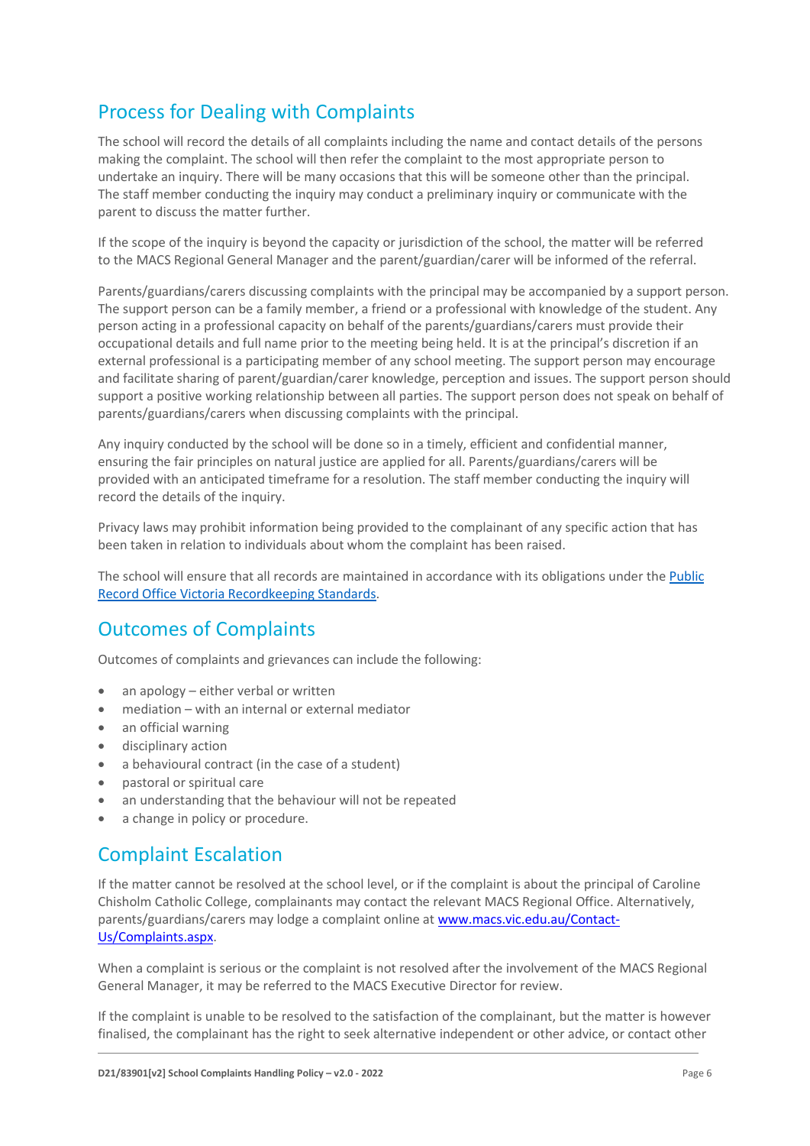# Process for Dealing with Complaints

The school will record the details of all complaints including the name and contact details of the persons making the complaint. The school will then refer the complaint to the most appropriate person to undertake an inquiry. There will be many occasions that this will be someone other than the principal. The staff member conducting the inquiry may conduct a preliminary inquiry or communicate with the parent to discuss the matter further.

If the scope of the inquiry is beyond the capacity or jurisdiction of the school, the matter will be referred to the MACS Regional General Manager and the parent/guardian/carer will be informed of the referral.

Parents/guardians/carers discussing complaints with the principal may be accompanied by a support person. The support person can be a family member, a friend or a professional with knowledge of the student. Any person acting in a professional capacity on behalf of the parents/guardians/carers must provide their occupational details and full name prior to the meeting being held. It is at the principal's discretion if an external professional is a participating member of any school meeting. The support person may encourage and facilitate sharing of parent/guardian/carer knowledge, perception and issues. The support person should support a positive working relationship between all parties. The support person does not speak on behalf of parents/guardians/carers when discussing complaints with the principal.

Any inquiry conducted by the school will be done so in a timely, efficient and confidential manner, ensuring the fair principles on natural justice are applied for all. Parents/guardians/carers will be provided with an anticipated timeframe for a resolution. The staff member conducting the inquiry will record the details of the inquiry.

Privacy laws may prohibit information being provided to the complainant of any specific action that has been taken in relation to individuals about whom the complaint has been raised.

The school will ensure that all records are maintained in accordance with its obligations under the [Public](https://prov.vic.gov.au/recordkeeping-government/standards-framework)  [Record Office Victoria Recordkeeping Standards.](https://prov.vic.gov.au/recordkeeping-government/standards-framework)

## Outcomes of Complaints

Outcomes of complaints and grievances can include the following:

- an apology either verbal or written
- mediation with an internal or external mediator
- an official warning
- disciplinary action
- a behavioural contract (in the case of a student)
- pastoral or spiritual care
- an understanding that the behaviour will not be repeated
- a change in policy or procedure.

### Complaint Escalation

If the matter cannot be resolved at the school level, or if the complaint is about the principal of Caroline Chisholm Catholic College, complainants may contact the relevant MACS Regional Office. Alternatively, parents/guardians/carers may lodge a complaint online at [www.macs.vic.edu.au/Contact-](http://www.macs.vic.edu.au/Contact-Us/Complaints.aspx)[Us/Complaints.aspx.](http://www.macs.vic.edu.au/Contact-Us/Complaints.aspx)

When a complaint is serious or the complaint is not resolved after the involvement of the MACS Regional General Manager, it may be referred to the MACS Executive Director for review.

If the complaint is unable to be resolved to the satisfaction of the complainant, but the matter is however finalised, the complainant has the right to seek alternative independent or other advice, or contact other